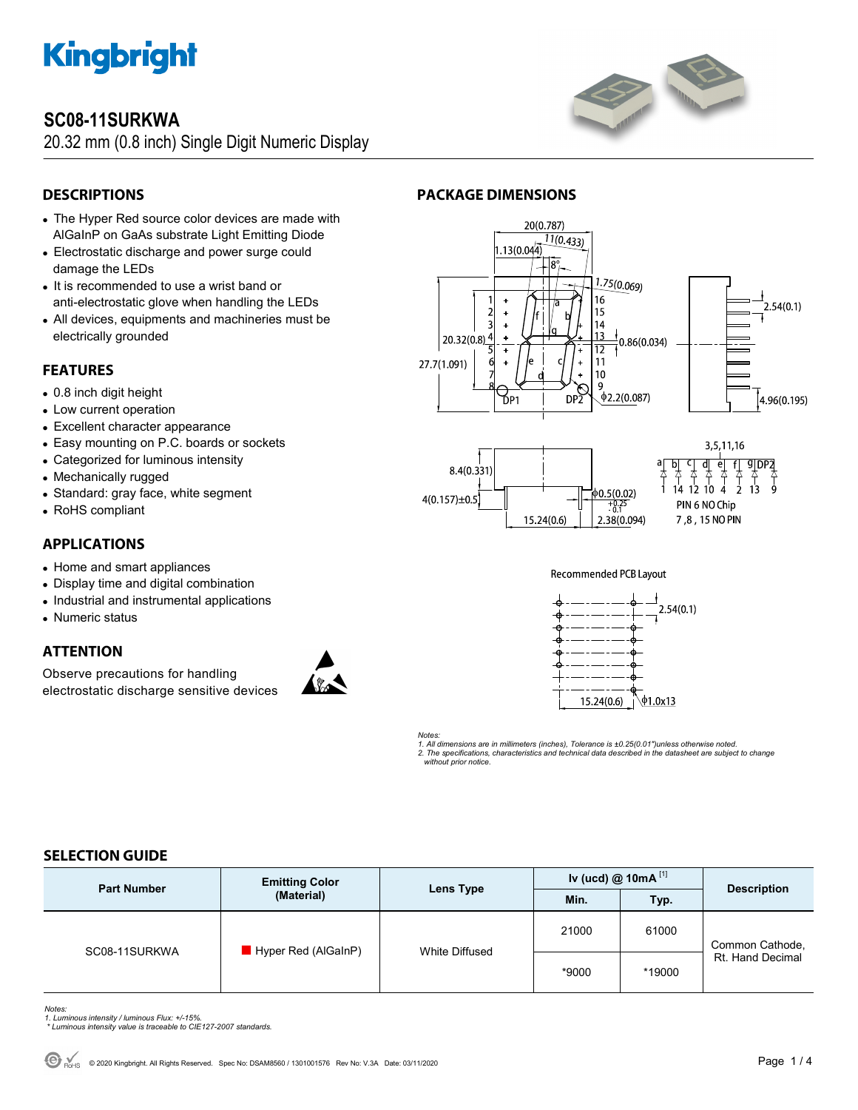

## **SC08-11SURKWA**

20.32 mm (0.8 inch) Single Digit Numeric Display



## **DESCRIPTIONS**

- The Hyper Red source color devices are made with AlGaInP on GaAs substrate Light Emitting Diode
- Electrostatic discharge and power surge could damage the LEDs
- It is recommended to use a wrist band or anti-electrostatic glove when handling the LEDs
- All devices, equipments and machineries must be electrically grounded

## **FEATURES**

- 0.8 inch digit height
- Low current operation
- Excellent character appearance
- Easy mounting on P.C. boards or sockets
- Categorized for luminous intensity
- Mechanically rugged
- Standard: gray face, white segment
- RoHS compliant

## **APPLICATIONS**

- Home and smart appliances
- Display time and digital combination
- Industrial and instrumental applications
- Numeric status

## **ATTENTION**

Observe precautions for handling electrostatic discharge sensitive devices





3,5,11,16 त  $\mathsf{e}$ 

 $\frac{1}{4}$ 







*Notes:* 

*1. All dimensions are in millimeters (inches), Tolerance is ±0.25(0.01")unless otherwise noted. 2. The specifications, characteristics and technical data described in the datasheet are subject to change without prior notice.* 

## **SELECTION GUIDE**

| <b>Part Number</b> | <b>Emitting Color</b><br>(Material) | Lens Type      | Iv (ucd) $@ 10mA$ <sup>[1]</sup> |        | <b>Description</b>                  |
|--------------------|-------------------------------------|----------------|----------------------------------|--------|-------------------------------------|
|                    |                                     |                | Min.                             | Typ.   |                                     |
| SC08-11SURKWA      | Hyper Red (AlGaInP)                 | White Diffused | 21000                            | 61000  | Common Cathode,<br>Rt. Hand Decimal |
|                    |                                     |                | *9000                            | *19000 |                                     |

- *Notes: 1. Luminous intensity / luminous Flux: +/-15%.*
- *\* Luminous intensity value is traceable to CIE127-2007 standards.*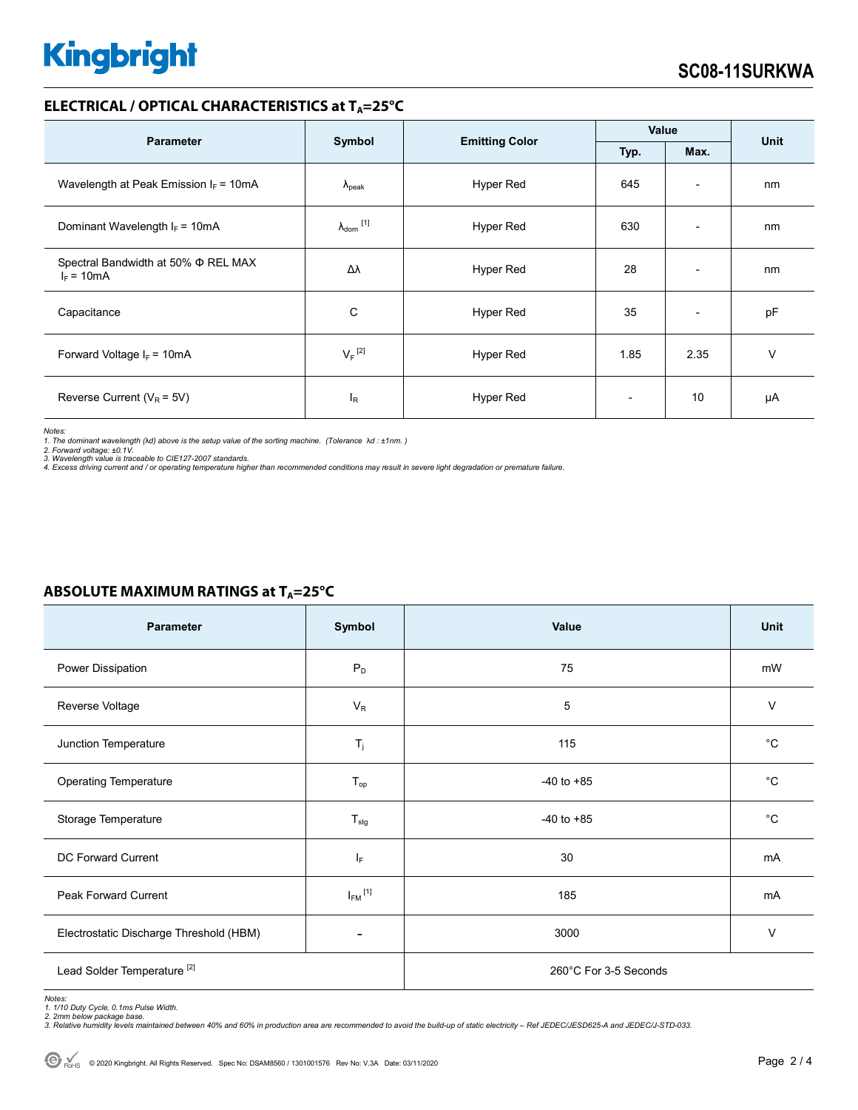# **Kingbright**

## **ELECTRICAL / OPTICAL CHARACTERISTICS at T<sub>A</sub>=25°C**

| <b>Parameter</b>                                         |                                                 |                  | Value                    |                          | <b>Unit</b> |
|----------------------------------------------------------|-------------------------------------------------|------------------|--------------------------|--------------------------|-------------|
|                                                          | Symbol<br><b>Emitting Color</b><br>Typ.<br>Max. |                  |                          |                          |             |
| Wavelength at Peak Emission $I_F = 10mA$                 | $\Lambda_{\rm peak}$                            | Hyper Red        | 645                      | $\overline{\phantom{a}}$ | nm          |
| Dominant Wavelength $I_F = 10mA$                         | $\lambda_{\text{dom}}$ [1]                      | Hyper Red        | 630                      | $\overline{\phantom{0}}$ | nm          |
| Spectral Bandwidth at 50% $\Phi$ REL MAX<br>$I_F = 10mA$ | Δλ                                              | <b>Hyper Red</b> | 28                       | $\overline{\phantom{a}}$ | nm          |
| Capacitance                                              | С                                               | Hyper Red        | 35                       | $\overline{\phantom{a}}$ | pF          |
| Forward Voltage $I_F$ = 10mA                             | $V_F$ <sup>[2]</sup>                            | Hyper Red        | 1.85                     | 2.35                     | v           |
| Reverse Current ( $V_R$ = 5V)                            | $I_R$                                           | Hyper Red        | $\overline{\phantom{0}}$ | 10                       | μA          |

*Notes:* 

*1. The dominant wavelength (*λ*d) above is the setup value of the sorting machine. (Tolerance* λ*d : ±1nm. )* 

*2. Forward voltage: ±0.1V. 3. Wavelength value is traceable to CIE127-2007 standards.* 

*4. Excess driving current and / or operating temperature higher than recommended conditions may result in severe light degradation or premature failure.* 

| Parameter                               | Symbol                  | Value                 | Unit         |  |
|-----------------------------------------|-------------------------|-----------------------|--------------|--|
| Power Dissipation                       | $\mathsf{P}_\mathsf{D}$ | 75                    | mW           |  |
| Reverse Voltage                         | $V_R$                   | 5                     | $\vee$       |  |
| Junction Temperature                    | $T_j$                   | 115                   | $^{\circ}C$  |  |
| <b>Operating Temperature</b>            | $T_{op}$                | $-40$ to $+85$        | $^{\circ}C$  |  |
| Storage Temperature                     | $T_{\text{stg}}$        | $-40$ to $+85$        | $^{\circ}$ C |  |
| DC Forward Current                      | IF.                     | 30                    | mA           |  |
| Peak Forward Current                    | $I_{FM}$ <sup>[1]</sup> | 185                   | mA           |  |
| Electrostatic Discharge Threshold (HBM) |                         | 3000                  | $\vee$       |  |
| Lead Solder Temperature <sup>[2]</sup>  |                         | 260°C For 3-5 Seconds |              |  |

## **ABSOLUTE MAXIMUM RATINGS at TA=25°C**

*Notes: 1. 1/10 Duty Cycle, 0.1ms Pulse Width.* 

*2. 2mm below package base. 3. Relative humidity levels maintained between 40% and 60% in production area are recommended to avoid the build-up of static electricity – Ref JEDEC/JESD625-A and JEDEC/J-STD-033.*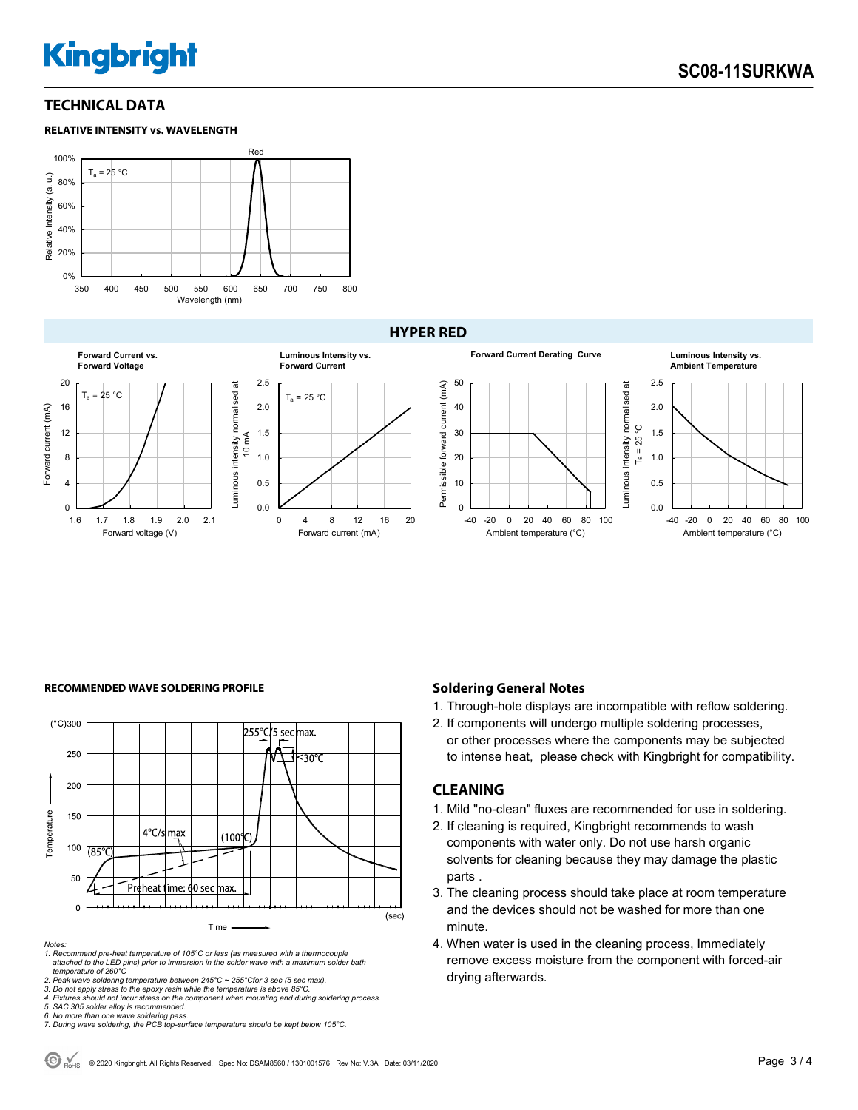## **Kingbright**

## **TECHNICAL DATA**





### **HYPER RED**



#### **RECOMMENDED WAVE SOLDERING PROFILE <b>A CONDUCT A CONDUCT SOLDERING PROFILE Soldering General Notes**



#### *Notes:*

*1. Recommend pre-heat temperature of 105°C or less (as measured with a thermocouple attached to the LED pins) prior to immersion in the solder wave with a maximum solder bath temperature of 260°C* 

2. Peak wave soldering temperature between 245°C ~ 255°Cfor 3 sec (5 sec max).<br>3. Do not apply stress to the epoxy resin while the temperature is above 85°C.<br>4. Fixtures should not incur stress on the component when mounti

*5. SAC 305 solder alloy is recommended.* 

1. Through-hole displays are incompatible with reflow soldering.

2. If components will undergo multiple soldering processes, or other processes where the components may be subjected to intense heat, please check with Kingbright for compatibility.

### **CLEANING**

- 1. Mild "no-clean" fluxes are recommended for use in soldering.
- 2. If cleaning is required, Kingbright recommends to wash components with water only. Do not use harsh organic solvents for cleaning because they may damage the plastic parts .
- 3. The cleaning process should take place at room temperature and the devices should not be washed for more than one minute.
- 4. When water is used in the cleaning process, Immediately remove excess moisture from the component with forced-air drying afterwards.

*<sup>6.</sup> No more than one wave soldering pass. 7. During wave soldering, the PCB top-surface temperature should be kept below 105°C.*